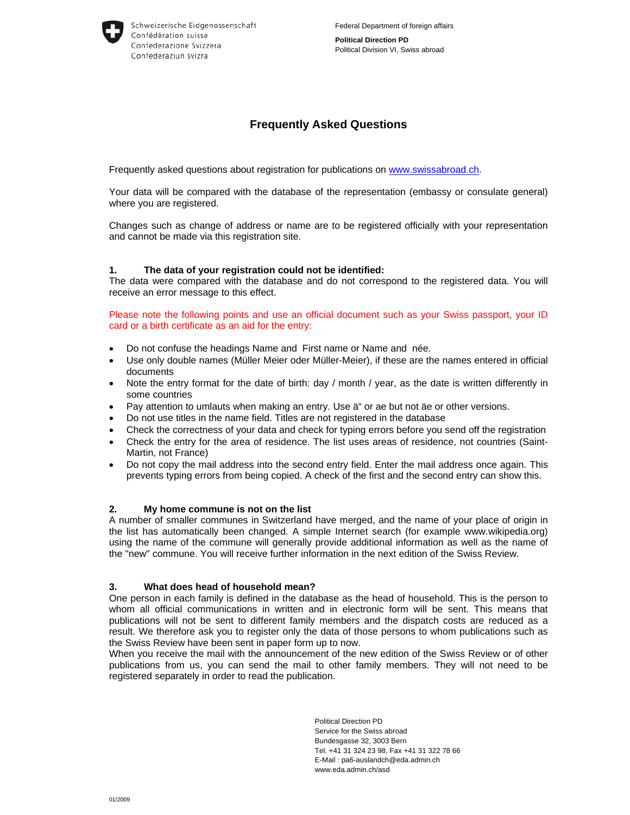**Political Direction PD**  Political Division VI, Swiss abroad

# **Frequently Asked Questions**

Frequently asked questions about registration for publications on www.swissabroad.ch.

Your data will be compared with the database of the representation (embassy or consulate general) where you are registered.

Changes such as change of address or name are to be registered officially with your representation and cannot be made via this registration site.

#### **1. The data of your registration could not be identified:**

The data were compared with the database and do not correspond to the registered data. You will receive an error message to this effect.

Please note the following points and use an official document such as your Swiss passport, your ID card or a birth certificate as an aid for the entry:

- Do not confuse the headings Name and First name or Name and née.
- Use only double names (Müller Meier oder Müller-Meier), if these are the names entered in official documents
- Note the entry format for the date of birth: day / month / year, as the date is written differently in some countries
- Pay attention to umlauts when making an entry. Use ä" or ae but not äe or other versions.
- Do not use titles in the name field. Titles are not registered in the database
- Check the correctness of your data and check for typing errors before you send off the registration
- Check the entry for the area of residence. The list uses areas of residence, not countries (Saint-Martin, not France)
- Do not copy the mail address into the second entry field. Enter the mail address once again. This prevents typing errors from being copied. A check of the first and the second entry can show this.

#### **2. My home commune is not on the list**

A number of smaller communes in Switzerland have merged, and the name of your place of origin in the list has automatically been changed. A simple Internet search (for example www.wikipedia.org) using the name of the commune will generally provide additional information as well as the name of the "new" commune. You will receive further information in the next edition of the Swiss Review.

#### **3. What does head of household mean?**

One person in each family is defined in the database as the head of household. This is the person to whom all official communications in written and in electronic form will be sent. This means that publications will not be sent to different family members and the dispatch costs are reduced as a result. We therefore ask you to register only the data of those persons to whom publications such as the Swiss Review have been sent in paper form up to now.

When you receive the mail with the announcement of the new edition of the Swiss Review or of other publications from us, you can send the mail to other family members. They will not need to be registered separately in order to read the publication.

> Political Direction PD Service for the Swiss abroad Bundesgasse 32, 3003 Bern Tel. +41 31 324 23 98, Fax +41 31 322 78 66 E-Mail : pa6-auslandch@eda.admin.ch www.eda.admin.ch/asd